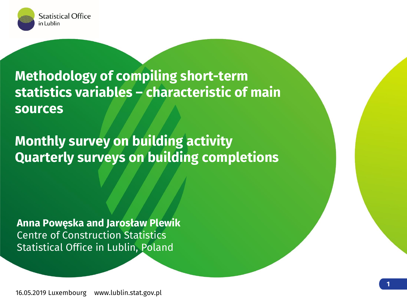

**Methodology of compiling short-term statistics variables – characteristic of main sources**

**Monthly survey on building activity Quarterly surveys on building completions**

Anna Powęska and Jarosław Plewik Centre of Construction Statistics Statistical Office in Lublin, Poland

**Łukasz Poszepczyński**

Urząd Statystyczny w Lublinie

16.05.2019 Luxembourg www.lublin.stat.gov.pl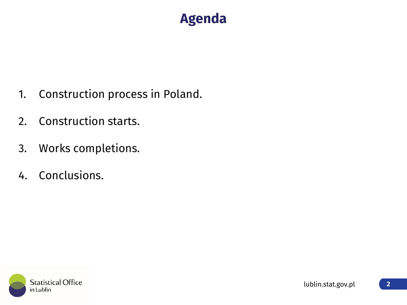#### **Agenda**

- 1. Construction process in Poland.
- 2. Construction starts.
- 3. Works completions.
- 4. Conclusions.

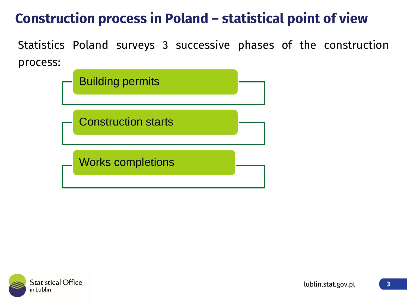# **Construction process in Poland – statistical point of view**

Statistics Poland surveys 3 successive phases of the construction process:

| <b>Building permits</b>    |  |
|----------------------------|--|
| <b>Construction starts</b> |  |
| <b>Works completions</b>   |  |

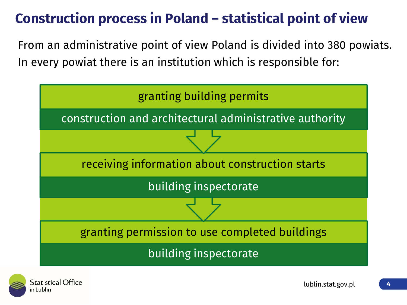# **Construction process in Poland – statistical point of view**

From an administrative point of view Poland is divided into 380 powiats. In every powiat there is an institution which is responsible for:



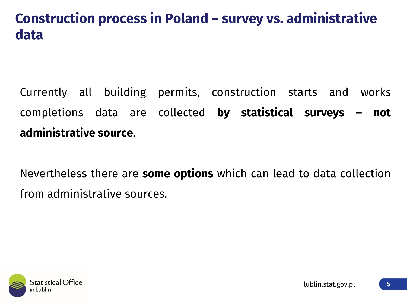#### **Construction process in Poland – survey vs. administrative data**

Currently all building permits, construction starts and works completions data are collected **by statistical surveys – not administrative source**.

Nevertheless there are **some options** which can lead to data collection from administrative sources.

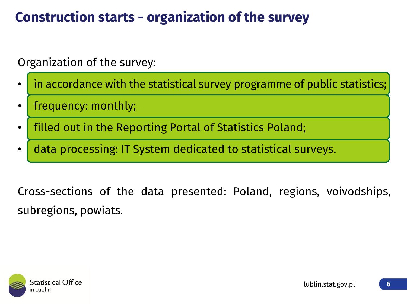## **Construction starts - organization of the survey**

Organization of the survey:

- in accordance with the statistical survey programme of public statistics;
- Frequency: monthly;
- filled out in the Reporting Portal of Statistics Poland;
- data processing: IT System dedicated to statistical surveys.

Cross-sections of the data presented: Poland, regions, voivodships, subregions, powiats.

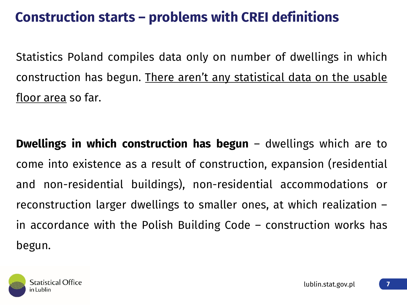## **Construction starts – problems with CREI definitions**

Statistics Poland compiles data only on number of dwellings in which construction has begun. There aren't any statistical data on the usable floor area so far.

**Dwellings in which construction has begun** – dwellings which are to come into existence as a result of construction, expansion (residential and non-residential buildings), non-residential accommodations or reconstruction larger dwellings to smaller ones, at which realization – in accordance with the Polish Building Code – construction works has begun.

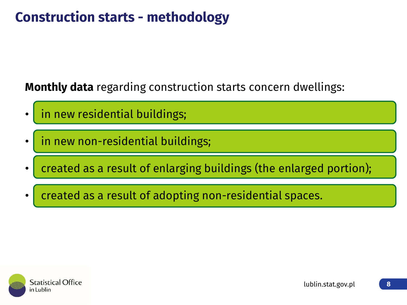## **Construction starts - methodology**

**Monthly data** regarding construction starts concern dwellings:

in new residential buildings;

in new non-residential buildings;

- created as a result of enlarging buildings (the enlarged portion);
- created as a result of adopting non-residential spaces.

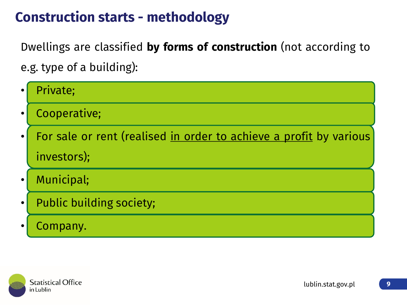#### **Construction starts - methodology**

Dwellings are classified **by forms of construction** (not according to e.g. type of a building):

|           | Private;                                                           |
|-----------|--------------------------------------------------------------------|
|           | Cooperative;                                                       |
| $\bullet$ | For sale or rent (realised in order to achieve a profit by various |
|           | investors);                                                        |
| $\bullet$ | Municipal;                                                         |
| $\bullet$ | <b>Public building society;</b>                                    |
|           | Company.                                                           |

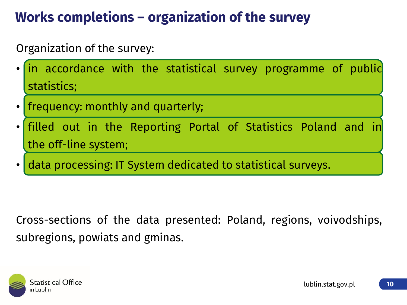# **Works completions – organization of the survey**

#### Organization of the survey:

- in accordance with the statistical survey programme of public statistics;
- frequency: monthly and quarterly;
- filled out in the Reporting Portal of Statistics Poland and in the off-line system;
- data processing: IT System dedicated to statistical surveys.

Cross-sections of the data presented: Poland, regions, voivodships, subregions, powiats and gminas.

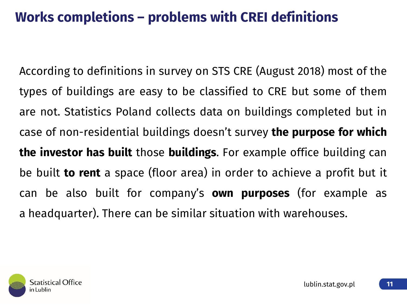## **Works completions – problems with CREI definitions**

According to definitions in survey on STS CRE (August 2018) most of the types of buildings are easy to be classified to CRE but some of them are not. Statistics Poland collects data on buildings completed but in case of non-residential buildings doesn't survey **the purpose for which the investor has built** those **buildings**. For example office building can be built **to rent** a space (floor area) in order to achieve a profit but it can be also built for company's **own purposes** (for example as a headquarter). There can be similar situation with warehouses.

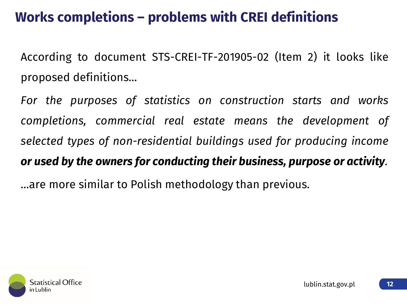## **Works completions – problems with CREI definitions**

According to document STS-CREI-TF-201905-02 (Item 2) it looks like proposed definitions…

*For the purposes of statistics on construction starts and works completions, commercial real estate means the development of selected types of non-residential buildings used for producing income or used by the owners for conducting their business, purpose or activity.*

…are more similar to Polish methodology than previous.

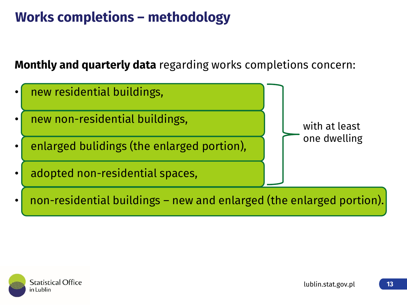## **Works completions – methodology**

#### **Monthly and quarterly data** regarding works completions concern:



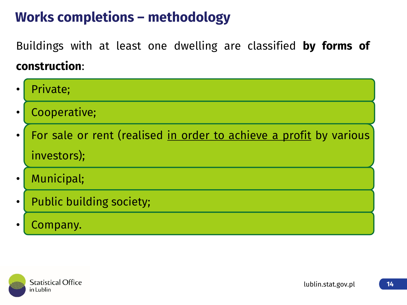## **Works completions – methodology**

Buildings with at least one dwelling are classified **by forms of construction**:

|           | Private;                                                           |
|-----------|--------------------------------------------------------------------|
|           | Cooperative;                                                       |
| $\bullet$ | For sale or rent (realised in order to achieve a profit by various |
|           | investors);                                                        |
| $\bullet$ | Municipal;                                                         |
| $\bullet$ | <b>Public building society;</b>                                    |
|           | Company.                                                           |

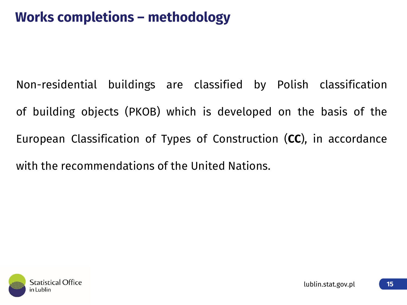## **Works completions – methodology**

Non-residential buildings are classified by Polish classification of building objects (PKOB) which is developed on the basis of the European Classification of Types of Construction (**CC**), in accordance with the recommendations of the United Nations.

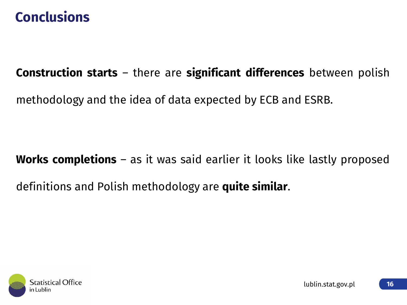#### **Conclusions**

#### **Construction starts** – there are **significant differences** between polish

methodology and the idea of data expected by ECB and ESRB.

#### **Works completions** – as it was said earlier it looks like lastly proposed

#### definitions and Polish methodology are **quite similar**.

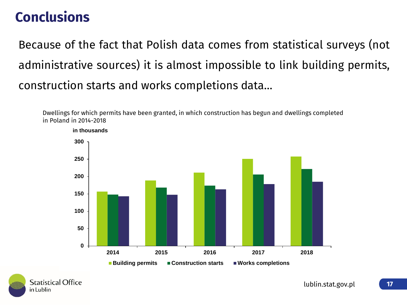## **Conclusions**

Because of the fact that Polish data comes from statistical surveys (not administrative sources) it is almost impossible to link building permits, construction starts and works completions data…

Dwellings for which permits have been granted, in which construction has begun and dwellings completed in Poland in 2014-2018